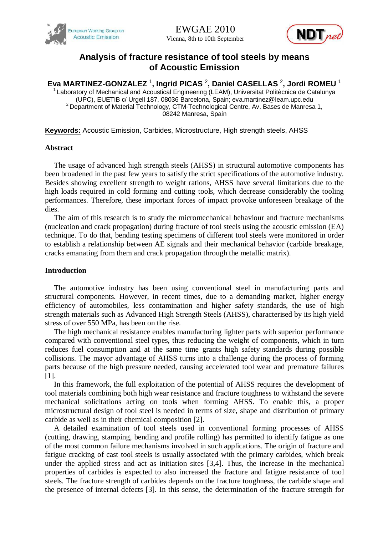



# **Analysis of fracture resistance of tool steels by means of Acoustic Emission**

**Eva MARTINEZ-GONZALEZ** <sup>1</sup> **, Ingrid PICAS** <sup>2</sup> **, Daniel CASELLAS** <sup>2</sup> **, Jordi ROMEU** <sup>1</sup>

Laboratory of Mechanical and Acoustical Engineering (LEAM), Universitat Politècnica de Catalunya (UPC), EUETIB c/ Urgell 187, 08036 Barcelona, Spain; eva.martinez@leam.upc.edu  $2$  Department of Material Technology, CTM-Technological Centre, Av. Bases de Manresa 1, 08242 Manresa, Spain

**Keywords:** Acoustic Emission, Carbides, Microstructure, High strength steels, AHSS

# **Abstract**

The usage of advanced high strength steels (AHSS) in structural automotive components has been broadened in the past few years to satisfy the strict specifications of the automotive industry. Besides showing excellent strength to weight rations, AHSS have several limitations due to the high loads required in cold forming and cutting tools, which decrease considerably the tooling performances. Therefore, these important forces of impact provoke unforeseen breakage of the dies.

The aim of this research is to study the micromechanical behaviour and fracture mechanisms (nucleation and crack propagation) during fracture of tool steels using the acoustic emission (EA) technique. To do that, bending testing specimens of different tool steels were monitored in order to establish a relationship between AE signals and their mechanical behavior (carbide breakage, cracks emanating from them and crack propagation through the metallic matrix).

# **Introduction**

The automotive industry has been using conventional steel in manufacturing parts and structural components. However, in recent times, due to a demanding market, higher energy efficiency of automobiles, less contamination and higher safety standards, the use of high strength materials such as Advanced High Strength Steels (AHSS), characterised by its high yield stress of over 550 MPa, has been on the rise.

The high mechanical resistance enables manufacturing lighter parts with superior performance compared with conventional steel types, thus reducing the weight of components, which in turn reduces fuel consumption and at the same time grants high safety standards during possible collisions. The mayor advantage of AHSS turns into a challenge during the process of forming parts because of the high pressure needed, causing accelerated tool wear and premature failures [1].

In this framework, the full exploitation of the potential of AHSS requires the development of tool materials combining both high wear resistance and fracture toughness to withstand the severe mechanical solicitations acting on tools when forming AHSS. To enable this, a proper microstructural design of tool steel is needed in terms of size, shape and distribution of primary carbide as well as in their chemical composition [2].

A detailed examination of tool steels used in conventional forming processes of AHSS (cutting, drawing, stamping, bending and profile rolling) has permitted to identify fatigue as one of the most common failure mechanisms involved in such applications. The origin of fracture and fatigue cracking of cast tool steels is usually associated with the primary carbides, which break under the applied stress and act as initiation sites [3,4]. Thus, the increase in the mechanical properties of carbides is expected to also increased the fracture and fatigue resistance of tool steels. The fracture strength of carbides depends on the fracture toughness, the carbide shape and the presence of internal defects [3]. In this sense, the determination of the fracture strength for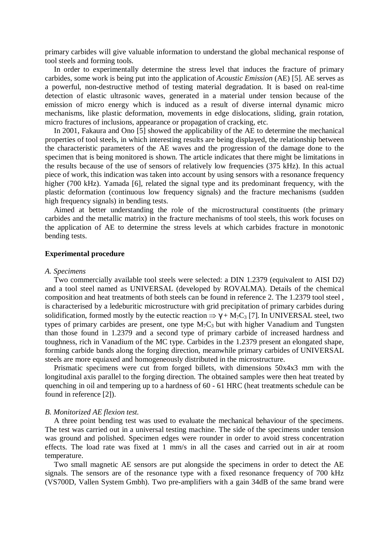primary carbides will give valuable information to understand the global mechanical response of tool steels and forming tools.

In order to experimentally determine the stress level that induces the fracture of primary carbides, some work is being put into the application of *Acoustic Emission* (AE) [5]. AE serves as a powerful, non-destructive method of testing material degradation. It is based on real-time detection of elastic ultrasonic waves, generated in a material under tension because of the emission of micro energy which is induced as a result of diverse internal dynamic micro mechanisms, like plastic deformation, movements in edge dislocations, sliding, grain rotation, micro fractures of inclusions, appearance or propagation of cracking, etc.

In 2001, Fakaura and Ono [5] showed the applicability of the AE to determine the mechanical properties of tool steels, in which interesting results are being displayed, the relationship between the characteristic parameters of the AE waves and the progression of the damage done to the specimen that is being monitored is shown. The article indicates that there might be limitations in the results because of the use of sensors of relatively low frequencies (375 kHz). In this actual piece of work, this indication was taken into account by using sensors with a resonance frequency higher (700 kHz). Yamada [6], related the signal type and its predominant frequency, with the plastic deformation (continuous low frequency signals) and the fracture mechanisms (sudden high frequency signals) in bending tests.

Aimed at better understanding the role of the microstructural constituents (the primary carbides and the metallic matrix) in the fracture mechanisms of tool steels, this work focuses on the application of AE to determine the stress levels at which carbides fracture in monotonic bending tests.

# **Experimental procedure**

#### *A. Specimens*

Two commercially available tool steels were selected: a DIN 1.2379 (equivalent to AISI D2) and a tool steel named as UNIVERSAL (developed by ROVALMA). Details of the chemical composition and heat treatments of both steels can be found in reference 2. The 1.2379 tool steel , is characterised by a ledeburitic microstructure with grid precipitation of primary carbides during solidification, formed mostly by the eutectic reaction  $\Rightarrow \gamma + M_7C_3$  [7]. In UNIVERSAL steel, two types of primary carbides are present, one type  $M_7C_3$  but with higher Vanadium and Tungsten than those found in 1.2379 and a second type of primary carbide of increased hardness and toughness, rich in Vanadium of the MC type. Carbides in the 1.2379 present an elongated shape, forming carbide bands along the forging direction, meanwhile primary carbides of UNIVERSAL steels are more equiaxed and homogeneously distributed in the microstructure.

Prismatic specimens were cut from forged billets, with dimensions 50x4x3 mm with the longitudinal axis parallel to the forging direction. The obtained samples were then heat treated by quenching in oil and tempering up to a hardness of 60 - 61 HRC (heat treatments schedule can be found in reference [2]).

#### *B. Monitorized AE flexion test.*

A three point bending test was used to evaluate the mechanical behaviour of the specimens. The test was carried out in a universal testing machine. The side of the specimens under tension was ground and polished. Specimen edges were rounder in order to avoid stress concentration effects. The load rate was fixed at 1 mm/s in all the cases and carried out in air at room temperature.

Two small magnetic AE sensors are put alongside the specimens in order to detect the AE signals. The sensors are of the resonance type with a fixed resonance frequency of 700 kHz (VS700D, Vallen System Gmbh). Two pre-amplifiers with a gain 34dB of the same brand were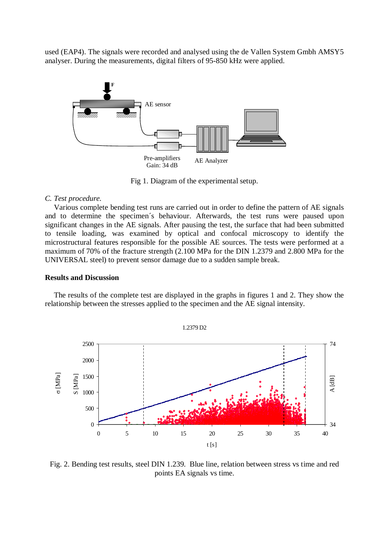used (EAP4). The signals were recorded and analysed using the de Vallen System Gmbh AMSY5 analyser. During the measurements, digital filters of 95-850 kHz were applied.



Fig 1. Diagram of the experimental setup.

# *C. Test procedure.*

Various complete bending test runs are carried out in order to define the pattern of AE signals and to determine the specimen´s behaviour. Afterwards, the test runs were paused upon significant changes in the AE signals. After pausing the test, the surface that had been submitted to tensile loading, was examined by optical and confocal microscopy to identify the microstructural features responsible for the possible AE sources. The tests were performed at a maximum of 70% of the fracture strength (2.100 MPa for the DIN 1.2379 and 2.800 MPa for the UNIVERSAL steel) to prevent sensor damage due to a sudden sample break.

# **Results and Discussion**

The results of the complete test are displayed in the graphs in figures 1 and 2. They show the relationship between the stresses applied to the specimen and the AE signal intensity.



Fig. 2. Bending test results, steel DIN 1.239. Blue line, relation between stress vs time and red points EA signals vs time.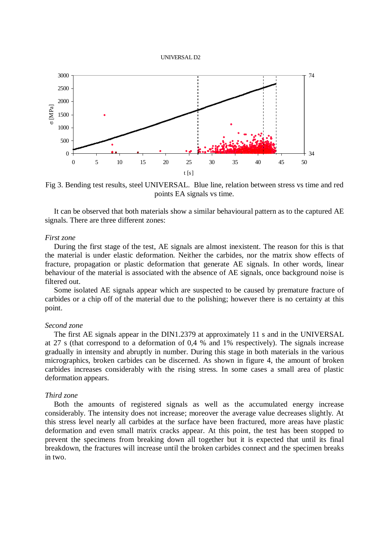



Fig 3. Bending test results, steel UNIVERSAL. Blue line, relation between stress vs time and red points EA signals vs time.

It can be observed that both materials show a similar behavioural pattern as to the captured AE signals. There are three different zones:

#### *First zone*

During the first stage of the test, AE signals are almost inexistent. The reason for this is that the material is under elastic deformation. Neither the carbides, nor the matrix show effects of fracture, propagation or plastic deformation that generate AE signals. In other words, linear behaviour of the material is associated with the absence of AE signals, once background noise is filtered out.

Some isolated AE signals appear which are suspected to be caused by premature fracture of carbides or a chip off of the material due to the polishing; however there is no certainty at this point.

## *Second zone*

The first AE signals appear in the DIN1.2379 at approximately 11 s and in the UNIVERSAL at 27 s (that correspond to a deformation of 0,4 % and 1% respectively). The signals increase gradually in intensity and abruptly in number. During this stage in both materials in the various micrographics, broken carbides can be discerned. As shown in figure 4, the amount of broken carbides increases considerably with the rising stress. In some cases a small area of plastic deformation appears.

## *Third zone*

Both the amounts of registered signals as well as the accumulated energy increase considerably. The intensity does not increase; moreover the average value decreases slightly. At this stress level nearly all carbides at the surface have been fractured, more areas have plastic deformation and even small matrix cracks appear. At this point, the test has been stopped to prevent the specimens from breaking down all together but it is expected that until its final breakdown, the fractures will increase until the broken carbides connect and the specimen breaks in two.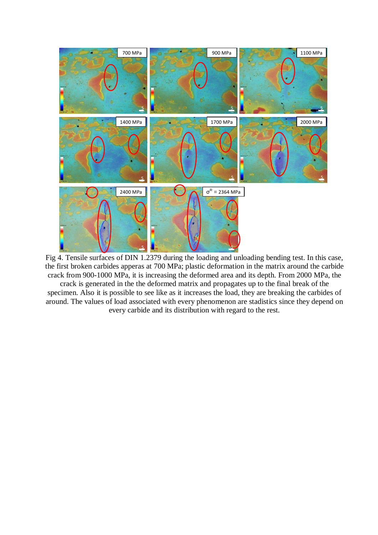

Fig 4. Tensile surfaces of DIN 1.2379 during the loading and unloading bending test. In this case, the first broken carbides apperas at 700 MPa; plastic deformation in the matrix around the carbide crack from 900-1000 MPa, it is increasing the deformed area and its depth. From 2000 MPa, the crack is generated in the the deformed matrix and propagates up to the final break of the specimen. Also it is possible to see like as it increases the load, they are breaking the carbides of around. The values of load associated with every phenomenon are stadistics since they depend on

every carbide and its distribution with regard to the rest.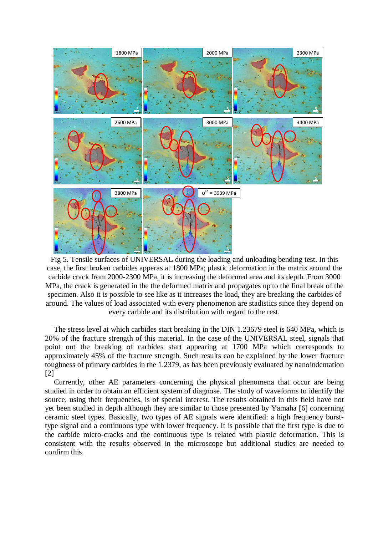

Fig 5. Tensile surfaces of UNIVERSAL during the loading and unloading bending test. In this case, the first broken carbides apperas at 1800 MPa; plastic deformation in the matrix around the carbide crack from 2000-2300 MPa, it is increasing the deformed area and its depth. From 3000 MPa, the crack is generated in the the deformed matrix and propagates up to the final break of the specimen. Also it is possible to see like as it increases the load, they are breaking the carbides of around. The values of load associated with every phenomenon are stadistics since they depend on every carbide and its distribution with regard to the rest.

The stress level at which carbides start breaking in the DIN 1.23679 steel is 640 MPa, which is 20% of the fracture strength of this material. In the case of the UNIVERSAL steel, signals that point out the breaking of carbides start appearing at 1700 MPa which corresponds to approximately 45% of the fracture strength. Such results can be explained by the lower fracture toughness of primary carbides in the 1.2379, as has been previously evaluated by nanoindentation [2]

Currently, other AE parameters concerning the physical phenomena that occur are being studied in order to obtain an efficient system of diagnose. The study of waveforms to identify the source, using their frequencies, is of special interest. The results obtained in this field have not yet been studied in depth although they are similar to those presented by Yamaha [6] concerning ceramic steel types. Basically, two types of AE signals were identified: a high frequency bursttype signal and a continuous type with lower frequency. It is possible that the first type is due to the carbide micro-cracks and the continuous type is related with plastic deformation. This is consistent with the results observed in the microscope but additional studies are needed to confirm this.